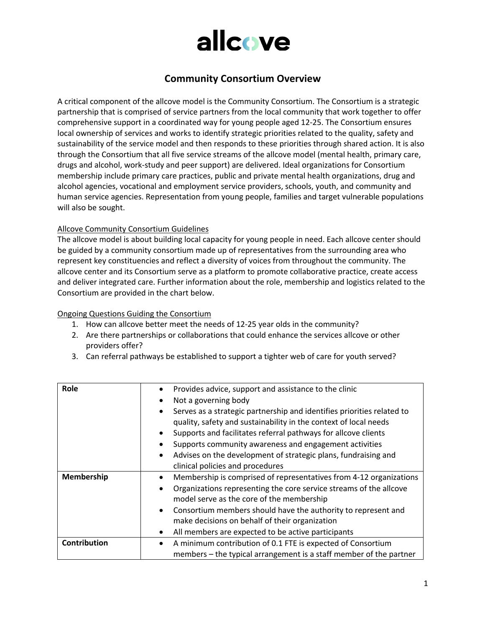

## **Community Consortium Overview**

A critical component of the allcove model is the Community Consortium. The Consortium is a strategic partnership that is comprised of service partners from the local community that work together to offer comprehensive support in a coordinated way for young people aged 12-25. The Consortium ensures local ownership of services and works to identify strategic priorities related to the quality, safety and sustainability of the service model and then responds to these priorities through shared action. It is also through the Consortium that all five service streams of the allcove model (mental health, primary care, drugs and alcohol, work-study and peer support) are delivered. Ideal organizations for Consortium membership include primary care practices, public and private mental health organizations, drug and alcohol agencies, vocational and employment service providers, schools, youth, and community and human service agencies. Representation from young people, families and target vulnerable populations will also be sought.

#### Allcove Community Consortium Guidelines

The allcove model is about building local capacity for young people in need. Each allcove center should be guided by a community consortium made up of representatives from the surrounding area who represent key constituencies and reflect a diversity of voices from throughout the community. The allcove center and its Consortium serve as a platform to promote collaborative practice, create access and deliver integrated care. Further information about the role, membership and logistics related to the Consortium are provided in the chart below.

#### Ongoing Questions Guiding the Consortium

- 1. How can allcove better meet the needs of 12-25 year olds in the community?
- 2. Are there partnerships or collaborations that could enhance the services allcove or other providers offer?
- 3. Can referral pathways be established to support a tighter web of care for youth served?

| Role                | Provides advice, support and assistance to the clinic<br>$\bullet$                  |
|---------------------|-------------------------------------------------------------------------------------|
|                     | Not a governing body<br>٠                                                           |
|                     | Serves as a strategic partnership and identifies priorities related to<br>$\bullet$ |
|                     | quality, safety and sustainability in the context of local needs                    |
|                     | Supports and facilitates referral pathways for allcove clients                      |
|                     | Supports community awareness and engagement activities                              |
|                     | Advises on the development of strategic plans, fundraising and<br>$\bullet$         |
|                     | clinical policies and procedures                                                    |
|                     |                                                                                     |
| Membership          | Membership is comprised of representatives from 4-12 organizations                  |
|                     | Organizations representing the core service streams of the allcove<br>٠             |
|                     | model serve as the core of the membership                                           |
|                     | Consortium members should have the authority to represent and<br>$\bullet$          |
|                     | make decisions on behalf of their organization                                      |
|                     | All members are expected to be active participants                                  |
| <b>Contribution</b> | A minimum contribution of 0.1 FTE is expected of Consortium<br>٠                    |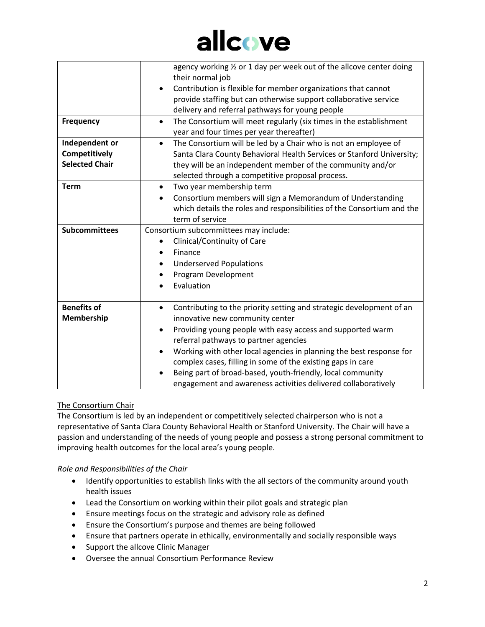# allcove

|                       | agency working 1/2 or 1 day per week out of the allcove center doing<br>their normal job |
|-----------------------|------------------------------------------------------------------------------------------|
|                       | Contribution is flexible for member organizations that cannot                            |
|                       | provide staffing but can otherwise support collaborative service                         |
|                       | delivery and referral pathways for young people                                          |
| <b>Frequency</b>      | The Consortium will meet regularly (six times in the establishment<br>$\bullet$          |
|                       | year and four times per year thereafter)                                                 |
| Independent or        | The Consortium will be led by a Chair who is not an employee of<br>$\bullet$             |
| Competitively         | Santa Clara County Behavioral Health Services or Stanford University;                    |
| <b>Selected Chair</b> | they will be an independent member of the community and/or                               |
|                       | selected through a competitive proposal process.                                         |
| <b>Term</b>           | Two year membership term<br>$\bullet$                                                    |
|                       | Consortium members will sign a Memorandum of Understanding                               |
|                       | which details the roles and responsibilities of the Consortium and the                   |
|                       | term of service                                                                          |
| <b>Subcommittees</b>  | Consortium subcommittees may include:                                                    |
|                       | Clinical/Continuity of Care                                                              |
|                       | Finance                                                                                  |
|                       | <b>Underserved Populations</b>                                                           |
|                       | Program Development                                                                      |
|                       | Evaluation                                                                               |
|                       |                                                                                          |
| <b>Benefits of</b>    | Contributing to the priority setting and strategic development of an<br>$\bullet$        |
| Membership            | innovative new community center                                                          |
|                       | Providing young people with easy access and supported warm<br>$\bullet$                  |
|                       | referral pathways to partner agencies                                                    |
|                       | Working with other local agencies in planning the best response for                      |
|                       | complex cases, filling in some of the existing gaps in care                              |
|                       | Being part of broad-based, youth-friendly, local community                               |
|                       | engagement and awareness activities delivered collaboratively                            |

### The Consortium Chair

The Consortium is led by an independent or competitively selected chairperson who is not a representative of Santa Clara County Behavioral Health or Stanford University. The Chair will have a passion and understanding of the needs of young people and possess a strong personal commitment to improving health outcomes for the local area's young people.

*Role and Responsibilities of the Chair*

- Identify opportunities to establish links with the all sectors of the community around youth health issues
- Lead the Consortium on working within their pilot goals and strategic plan
- Ensure meetings focus on the strategic and advisory role as defined
- Ensure the Consortium's purpose and themes are being followed
- Ensure that partners operate in ethically, environmentally and socially responsible ways
- Support the allcove Clinic Manager
- Oversee the annual Consortium Performance Review